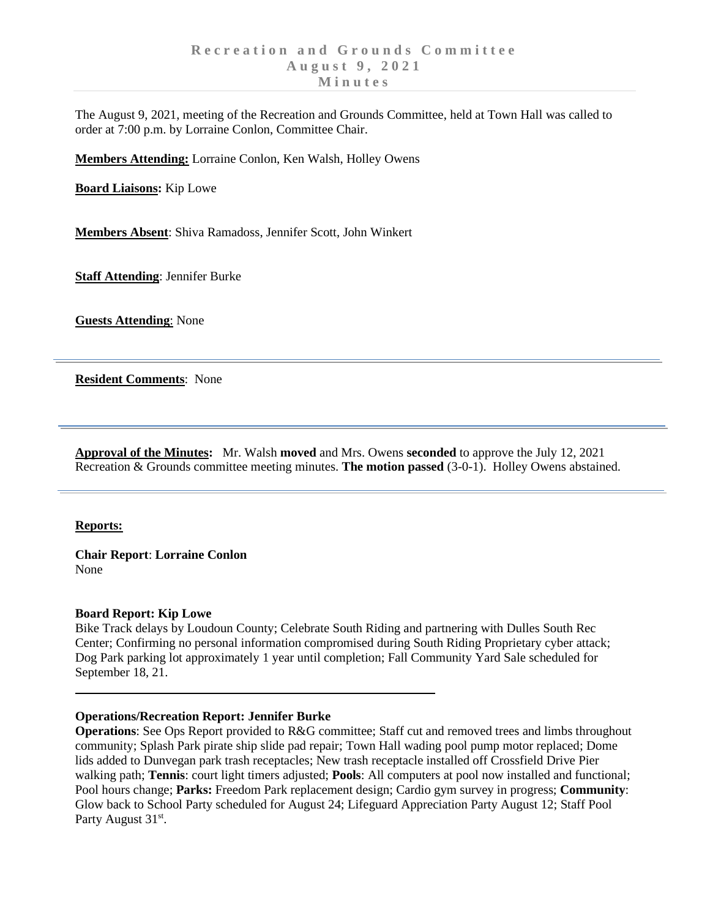The August 9, 2021, meeting of the Recreation and Grounds Committee, held at Town Hall was called to order at 7:00 p.m. by Lorraine Conlon, Committee Chair.

**Members Attending:** Lorraine Conlon, Ken Walsh, Holley Owens

**Board Liaisons:** Kip Lowe

**Members Absent**: Shiva Ramadoss, Jennifer Scott, John Winkert

**Staff Attending**: Jennifer Burke

**Guests Attending**: None

**Resident Comments**: None

**Approval of the Minutes:** Mr. Walsh **moved** and Mrs. Owens **seconded** to approve the July 12, 2021 Recreation & Grounds committee meeting minutes. **The motion passed** (3-0-1). Holley Owens abstained.

### **Reports:**

**Chair Report**: **Lorraine Conlon** None

### **Board Report: Kip Lowe**

Bike Track delays by Loudoun County; Celebrate South Riding and partnering with Dulles South Rec Center; Confirming no personal information compromised during South Riding Proprietary cyber attack; Dog Park parking lot approximately 1 year until completion; Fall Community Yard Sale scheduled for September 18, 21.

### **Operations/Recreation Report: Jennifer Burke**

**Operations**: See Ops Report provided to R&G committee; Staff cut and removed trees and limbs throughout community; Splash Park pirate ship slide pad repair; Town Hall wading pool pump motor replaced; Dome lids added to Dunvegan park trash receptacles; New trash receptacle installed off Crossfield Drive Pier walking path; **Tennis**: court light timers adjusted; **Pools**: All computers at pool now installed and functional; Pool hours change; **Parks:** Freedom Park replacement design; Cardio gym survey in progress; **Community**: Glow back to School Party scheduled for August 24; Lifeguard Appreciation Party August 12; Staff Pool Party August 31<sup>st</sup>.